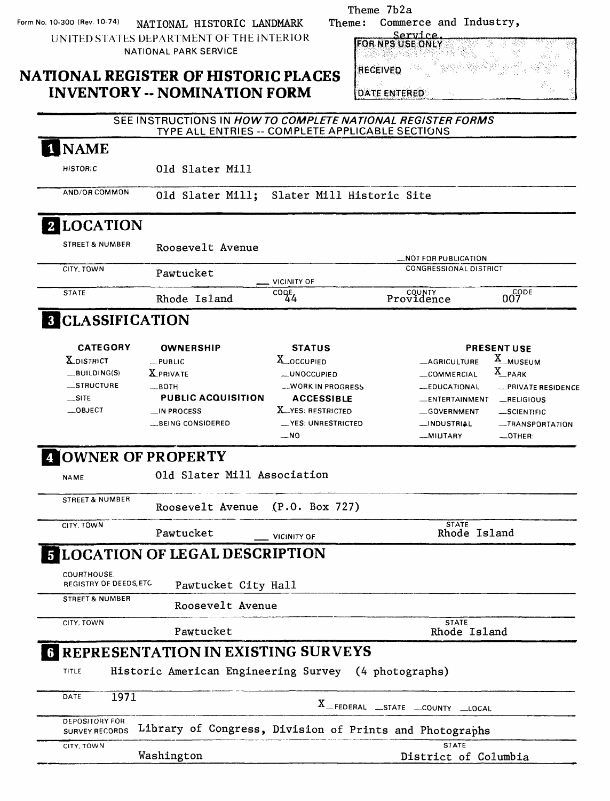Form No. 10-300 (Rev. 10-74) NATIONAL HISTORIC LANDMARK UNITED STATES DEPARTMENT OF THE INTERIOR NATIONAL PARK SERVICE

### **NATIONAL REGISTER OF HISTORIC PLACES INVENTORY -- NOMINATION FORM**

| Theme: | Theme 7b2a<br>Commerce and Industry,         |  |
|--------|----------------------------------------------|--|
| ΞS     | FOR NPS USE ONLY<br>RECEIVED<br>DATE ENTERED |  |

|                               | TYPE ALL ENTRIES -- COMPLETE APPLICABLE SECTIONS                                                                                                    |                                                                                                                                                                                                                        |                                                                                                                                                                                                 |
|-------------------------------|-----------------------------------------------------------------------------------------------------------------------------------------------------|------------------------------------------------------------------------------------------------------------------------------------------------------------------------------------------------------------------------|-------------------------------------------------------------------------------------------------------------------------------------------------------------------------------------------------|
|                               |                                                                                                                                                     |                                                                                                                                                                                                                        |                                                                                                                                                                                                 |
| 01d Slater Mill               |                                                                                                                                                     |                                                                                                                                                                                                                        |                                                                                                                                                                                                 |
| 01d Slater Mill;              |                                                                                                                                                     |                                                                                                                                                                                                                        |                                                                                                                                                                                                 |
|                               |                                                                                                                                                     |                                                                                                                                                                                                                        |                                                                                                                                                                                                 |
| Roosevelt Avenue              |                                                                                                                                                     | <b>LINOT FOR PUBLICATION</b>                                                                                                                                                                                           |                                                                                                                                                                                                 |
| Pawtucket                     |                                                                                                                                                     | <b>CONGRESSIONAL DISTRICT</b>                                                                                                                                                                                          |                                                                                                                                                                                                 |
| Rhode Island                  | င၀၀ဠ<br>44                                                                                                                                          | <b>Providence</b>                                                                                                                                                                                                      | 007                                                                                                                                                                                             |
|                               |                                                                                                                                                     |                                                                                                                                                                                                                        |                                                                                                                                                                                                 |
| <b>OWNERSHIP</b>              | <b>STATUS</b><br>X_OCCUPIED<br><b>__UNOCCUPIED</b>                                                                                                  | <b>_AGRICULTURE</b><br>COMMERCIAL                                                                                                                                                                                      | <b>PRESENT USE</b><br>X_MUSEUM<br>X_PARK                                                                                                                                                        |
| <b>PUBLIC ACQUISITION</b>     | <b>__WORK IN PROGRESS</b><br><b>ACCESSIBLE</b><br><b>X</b> _YES: RESTRICTED<br><b>__YES: UNRESTRICTED</b><br>$-$ NO                                 | -EDUCATIONAL<br><b>ENTERTAINMENT</b><br>-GOVERNMENT<br>__INDUSTRIAL<br>_MILITARY                                                                                                                                       | PRIVATE RESIDENCE<br>$-$ RELIGIOUS<br>$-$ SCIENTIFIC<br>-TRANSPORTATION<br>$-$ OTHER:                                                                                                           |
|                               |                                                                                                                                                     |                                                                                                                                                                                                                        |                                                                                                                                                                                                 |
|                               |                                                                                                                                                     |                                                                                                                                                                                                                        |                                                                                                                                                                                                 |
| Pawtucket                     | <b>VICINITY OF</b>                                                                                                                                  | <b>STATE</b><br>Rhode Island                                                                                                                                                                                           |                                                                                                                                                                                                 |
|                               |                                                                                                                                                     |                                                                                                                                                                                                                        |                                                                                                                                                                                                 |
|                               |                                                                                                                                                     |                                                                                                                                                                                                                        |                                                                                                                                                                                                 |
|                               |                                                                                                                                                     |                                                                                                                                                                                                                        |                                                                                                                                                                                                 |
| Pawtucket                     |                                                                                                                                                     | <b>STATE</b><br>Rhode Island                                                                                                                                                                                           |                                                                                                                                                                                                 |
|                               |                                                                                                                                                     |                                                                                                                                                                                                                        |                                                                                                                                                                                                 |
|                               |                                                                                                                                                     |                                                                                                                                                                                                                        |                                                                                                                                                                                                 |
|                               |                                                                                                                                                     |                                                                                                                                                                                                                        |                                                                                                                                                                                                 |
|                               |                                                                                                                                                     |                                                                                                                                                                                                                        |                                                                                                                                                                                                 |
| Washington                    |                                                                                                                                                     | District of Columbia                                                                                                                                                                                                   |                                                                                                                                                                                                 |
| <b>REGISTRY OF DEEDS, ETC</b> | <b>8 CLASSIFICATION</b><br>$L$ PUBLIC<br><b>X</b> PRIVATE<br>$-BOTH$<br>$\Box$ IN PROCESS<br><b>LBEING CONSIDERED</b><br><b>4 OWNER OF PROPERTY</b> | <b>VICINITY OF</b><br>Old Slater Mill Association<br>Roosevelt Avenue (P.O. Box 727)<br><b>E LOCATION OF LEGAL DESCRIPTION</b><br>Pawtucket City Hall<br>Roosevelt Avenue<br><b>REPRESENTATION IN EXISTING SURVEYS</b> | Slater Mill Historic Site<br>Historic American Engineering Survey (4 photographs)<br>X_FEDERAL _STATE _COUNTY _LOCAL<br>Library of Congress, Division of Prints and Photographs<br><b>STATE</b> |

SEE INSTRUCTIONS IN **HOW TO COMPLETE NATIONAL REGISTER FORMS**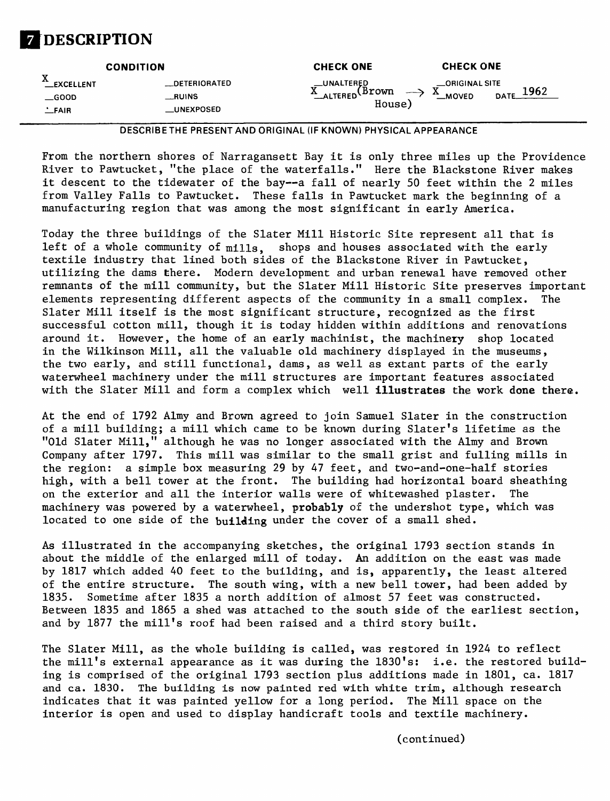# **[DESCRIPTION**

|                                                               | <b>CONDITION</b>                                           | <b>CHECK ONE</b>                                                 | <b>CHECK ONE</b>                                     |
|---------------------------------------------------------------|------------------------------------------------------------|------------------------------------------------------------------|------------------------------------------------------|
| T7<br><b>__EXCELLENT</b><br>$\_\$ {GOOD}<br>$\mathbf{L}$ FAIR | <b>DETERIORATED</b><br>$\equiv$ RUINS<br><b>_UNEXPOSED</b> | _UNALTERED<br><b>Brown</b><br>$\rightarrow$<br>ALTERED<br>House) | _ORIGINAL SITE<br>v<br>1962<br>∡⊾<br>DATE.<br>_MOVED |

**DESCRIBETHE PRESENT AND ORIGINAL (IF KNOWN) PHYSICAL APPEARANCE**

From the northern shores of Narragansett Bay it is only three miles up the Providence River to Pawtucket, "the place of the waterfalls." Here the Blackstone River makes it descent to the tidewater of the bay--a fall of nearly 50 feet within the 2 miles from Valley Falls to Pawtucket. These falls in Pawtucket mark the beginning of a manufacturing region that was among the most significant in early America.

Today the three buildings of the Slater Mill Historic Site represent all that is left of a whole community of mills, shops and houses associated with the early textile industry that lined both sides of the Blackstone River in Pawtucket, utilizing the dams there. Modern development and urban renewal have removed other remnants of the mill community, but the Slater Mill Historic Site preserves important elements representing different aspects of the community in a small complex. The Slater Mill itself is the most significant structure, recognized as the first successful cotton mill, though it is today hidden within additions and renovations around it. However, the home of an early machinist, the machinery shop located in the Wilkinson Mill, all the valuable old machinery displayed in the museums, the two early, and still functional, dams, as well as extant parts of the early waterwheel machinery under the mill structures are important features associated with the Slater Mill and form a complex which well *illustrates the work done there*.

At the end of 1792 Almy and Brown agreed to join Samuel Slater in the construction of a mill building; a mill which came to be known during Slater's lifetime as the "Old Slater Mill," although he was no longer associated with the Almy and Brown Company after 1797. This mill was similar to the small grist and fulling mills in the region: a simple box measuring 29 by 47 feet, and two-and-one-half stories high, with a bell tower at the front. The building had horizontal board sheathing on the exterior and all the interior walls were of whitewashed plaster. The machinery was powered by a waterwheel, probably of the undershot type, which was located to one side of the building under the cover of a small shed.

As illustrated in the accompanying sketches, the original 1793 section stands in about the middle of the enlarged mill of today. An addition on the east was made by 1817 which added 40 feet to the building, and is, apparently, the least altered of the entire structure. The south wing, with a new bell tower, had been added by 1835. Sometime after 1835 a north addition of almost 57 feet was constructed. Between 1835 and 1865 a shed was attached to the south side of the earliest section, and by 1877 the mill's roof had been raised and a third story built.

The Slater Mill, as the whole building is called, was restored in 1924 to reflect the mill's external appearance as it was during the 1830's: i.e. the restored building is comprised of the original 1793 section plus additions made in 1801, ca. 1817 and ca. 1830. The building is now painted red with white trim, although research indicates that it was painted yellow for a long period. The Mill space on the interior is open and used to display handicraft tools and textile machinery.

(continued)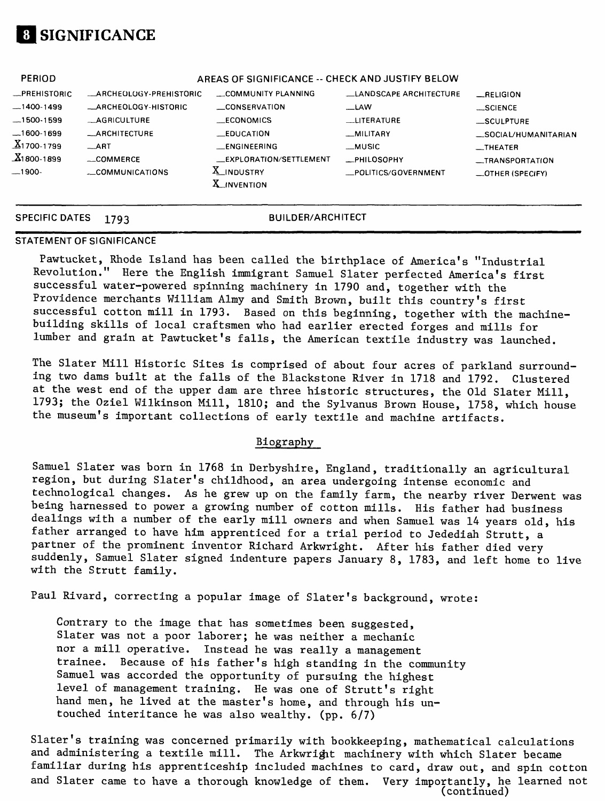# **SIGNIFICANCE**

| <b>PERIOD</b>          |                               | AREAS OF SIGNIFICANCE -- CHECK AND JUSTIFY BELOW |                               |                          |
|------------------------|-------------------------------|--------------------------------------------------|-------------------------------|--------------------------|
| -PREHISTORIC           | <b>ARCHEOLOGY-PREHISTORIC</b> | COMMUNITY PLANNING                               | <b>LANDSCAPE ARCHITECTURE</b> | RELIGION                 |
| $-1400-1499$           | <b>_ARCHEOLOGY-HISTORIC</b>   | <b>CONSERVATION</b>                              | __LAW                         | $$ SCIENCE               |
| $-1500-1599$           | __AGRICULTURE                 | <b>ECONOMICS</b>                                 | <b>LITERATURE</b>             | SCULPTURE                |
| .1600-1699             | <b>_ARCHITECTURE</b>          | $E$ DUCATION                                     | _MILITARY                     | _SOCIAL/HUMANITARIAN     |
| $X_1$ 700-1799         | $-ART$                        | __ENGINEERING                                    | __MUSIC                       | $-$ THEATER              |
| $\frac{X}{1800}$ -1899 | $\sim$ COMMERCE               | EXPLORATION/SETTLEMENT                           | <b>PHILOSOPHY</b>             | __TRANSPORTATION         |
| __1900-                | COMMUNICATIONS                | X_INDUSTRY<br><b>X</b> _INVENTION                | _POLITICS/GOVERNMENT          | $\equiv$ OTHER (SPECIFY) |
|                        |                               |                                                  |                               |                          |

### **SPECIFIC DATES 1793 BUILDER/ARCHITECT**

### **STATEMENT OF SIGNIFICANCE**

Pawtucket, Rhode Island has been called the birthplace of America's "Industrial Revolution." Here the English immigrant Samuel Slater perfected America's first successful water-powered spinning machinery in 1790 and, together with the Providence merchants William Almy and Smith Brown, built this country's first successful cotton mill in 1793. Based on this beginning, together with the machinebuilding skills of local craftsmen who had earlier erected forges and mills for lumber and grain at Pawtucket's falls, the American textile industry was launched.

The Slater Mill Historic Sites is comprised of about four acres of parkland surrounding two dams built at the falls of the Blackstone River in 1718 and 1792. Clustered at the west end of the upper dam are three historic structures, the Old Slater Mill, 1793; the Oziel Wilkinson Mill, 1810; and the Sylvanus Brown House, 1758, which house the museum's important collections of early textile and machine artifacts.

### Biography

Samuel Slater was born in 1768 in Derbyshire, England, traditionally an agricultural region, but during Slater's childhood, an area undergoing intense economic and technological changes. As he grew up on the family farm, the nearby river Derwent was being harnessed to power a growing number of cotton mills. His father had business dealings with a number of the early mill owners and when Samuel was 14 years old, his father arranged to have him apprenticed for a trial period to Jedediah Strutt, a partner of the prominent inventor Richard Arkwright. After his father died very suddenly, Samuel Slater signed indenture papers January 8, 1783, and left home to live with the Strutt family.

Paul Rivard, correcting a popular image of Slater's background, wrote:

Contrary to the image that has sometimes been suggested, Slater was not a poor laborer; he was neither a mechanic nor a mill operative. Instead he was really a management trainee. Because of his father's high standing in the community Samuel was accorded the opportunity of pursuing the highest level of management training. He was one of Strutt's right hand men, he lived at the master's home, and through his untouched interitance he was also wealthy, (pp. 6/7)

Slater's training was concerned primarily with bookkeeping, mathematical calculations and administering a textile mill. The Arkwright machinery with which Slater became familiar during his apprenticeship included machines to card, draw out, and spin cotton and Slater came to have a thorough knowledge of them. Very importantly, he learned not (continued)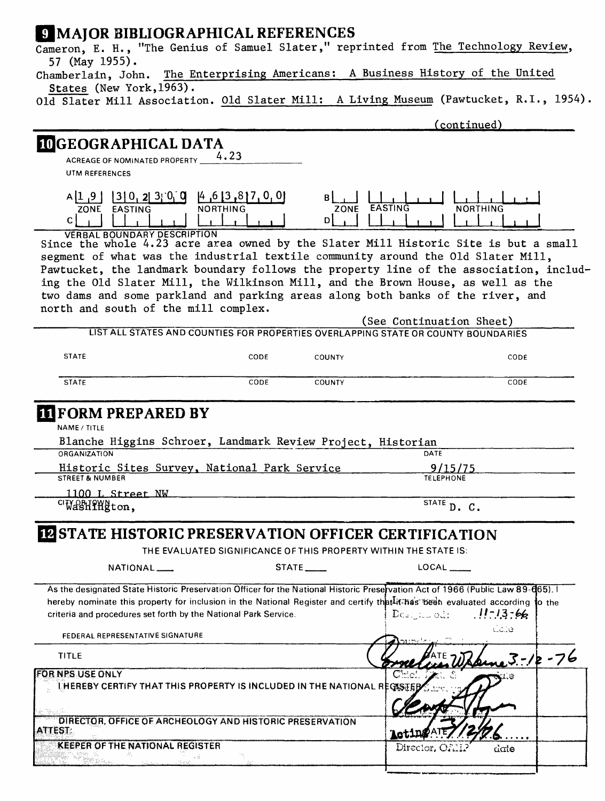### **J. MAJOR BIBLIOGRAPHICAL REFERENCES**

| S MAJUR DIDLIUGRAFFIIUAL REFERENCES<br>Cameron, E. H., "The Genius of Samuel Slater," reprinted from The Technology Review,                                                                                                                                                                                                        |                                                                                 |
|------------------------------------------------------------------------------------------------------------------------------------------------------------------------------------------------------------------------------------------------------------------------------------------------------------------------------------|---------------------------------------------------------------------------------|
| 57 (May 1955).<br>Chamberlain, John. The Enterprising Americans:                                                                                                                                                                                                                                                                   | A Business History of the United                                                |
| States (New York, 1963).                                                                                                                                                                                                                                                                                                           |                                                                                 |
| Old Slater Mill Association. Old Slater Mill: A Living Museum (Pawtucket, R.I., 1954)                                                                                                                                                                                                                                              |                                                                                 |
|                                                                                                                                                                                                                                                                                                                                    | (continued)                                                                     |
|                                                                                                                                                                                                                                                                                                                                    |                                                                                 |
| <b>IDGEOGRAPHICAL DATA</b>                                                                                                                                                                                                                                                                                                         |                                                                                 |
| ACREAGE OF NOMINATED PROPERTY 4.23<br><b>UTM REFERENCES</b>                                                                                                                                                                                                                                                                        |                                                                                 |
|                                                                                                                                                                                                                                                                                                                                    |                                                                                 |
| $A[1, 9]$ [3] 0, 2  3  0, 0<br>4, 6, 3, 8, 7, 0, 0<br>EASTING<br>NORTHING<br>ZONE<br>ZONE<br>D<br>C                                                                                                                                                                                                                                | EASTING<br>NORTHING                                                             |
| <b>VERBAL BOUNDARY DESCRIPTION</b><br>Since the whole 4.23 acre area owned by the Slater Mill Historic Site is but a small                                                                                                                                                                                                         |                                                                                 |
| segment of what was the industrial textile community around the Old Slater Mill,                                                                                                                                                                                                                                                   |                                                                                 |
| Pawtucket, the landmark boundary follows the property line of the association, includ-                                                                                                                                                                                                                                             |                                                                                 |
| ing the Old Slater Mill, the Wilkinson Mill, and the Brown House, as well as the                                                                                                                                                                                                                                                   |                                                                                 |
| two dams and some parkland and parking areas along both banks of the river, and                                                                                                                                                                                                                                                    |                                                                                 |
| north and south of the mill complex.                                                                                                                                                                                                                                                                                               |                                                                                 |
| LIST ALL STATES AND COUNTIES FOR PROPERTIES OVERLAPPING STATE OR COUNTY BOUNDARIES                                                                                                                                                                                                                                                 | (See Continuation Sheet)                                                        |
| <b>STATE</b><br>CODE<br>COUNTY                                                                                                                                                                                                                                                                                                     | CODE                                                                            |
|                                                                                                                                                                                                                                                                                                                                    |                                                                                 |
| <b>STATE</b><br>COUNTY<br>CODE                                                                                                                                                                                                                                                                                                     | CODE                                                                            |
| <b>IT FORM PREPARED BY</b><br>NAME / TITLE<br>Blanche Higgins Schroer, Landmark Review Project, Historian<br>ORGANIZATION<br>Historic Sites Survey, National Park Service                                                                                                                                                          | <b>DATE</b><br>9/15/75                                                          |
| <b>STREET &amp; NUMBER</b>                                                                                                                                                                                                                                                                                                         | <b>TELEPHONE</b>                                                                |
| 1100 L Street NW                                                                                                                                                                                                                                                                                                                   |                                                                                 |
| <sup>CI</sup> WasHPHgton,                                                                                                                                                                                                                                                                                                          | $\overline{\text{state}}$ D. C.                                                 |
|                                                                                                                                                                                                                                                                                                                                    |                                                                                 |
| <b>IN STATE HISTORIC PRESERVATION OFFICER CERTIFICATION</b>                                                                                                                                                                                                                                                                        |                                                                                 |
| THE EVALUATED SIGNIFICANCE OF THIS PROPERTY WITHIN THE STATE IS:                                                                                                                                                                                                                                                                   |                                                                                 |
| NATIONAL <sub>___</sub><br>$STATE$ <sub>_____</sub>                                                                                                                                                                                                                                                                                |                                                                                 |
| As the designated State Historic Preservation Officer for the National Historic Preservation Act of 1966 (Public Law 89-665). I<br>hereby nominate this property for inclusion in the National Register and certify that it has been evaluated according to the<br>criteria and procedures set forth by the National Park Service. | $1! - 13 - 66$<br>$\mathrm{Dec}_{\mathrm{in}}$ and $\mathrm{Cat}$ :<br>فالمرتاك |
| FEDERAL REPRESENTATIVE SIGNATURE                                                                                                                                                                                                                                                                                                   |                                                                                 |
| TITLE                                                                                                                                                                                                                                                                                                                              | <u>ne 3</u> -12-76                                                              |
| FOR NPS USE ONLY<br>LHEREBY CERTIFY THAT THIS PROPERTY IS INCLUDED IN THE NATIONAL REGISTER                                                                                                                                                                                                                                        |                                                                                 |
|                                                                                                                                                                                                                                                                                                                                    |                                                                                 |
| DIRECTOR, OFFICE OF ARCHEOLOGY AND HISTORIC PRESERVATION<br><b>ATTEST:</b>                                                                                                                                                                                                                                                         |                                                                                 |
|                                                                                                                                                                                                                                                                                                                                    |                                                                                 |
| <b>KEEPER OF THE NATIONAL REGISTER</b>                                                                                                                                                                                                                                                                                             |                                                                                 |
| Sing group.                                                                                                                                                                                                                                                                                                                        | Director, OAN<br>date                                                           |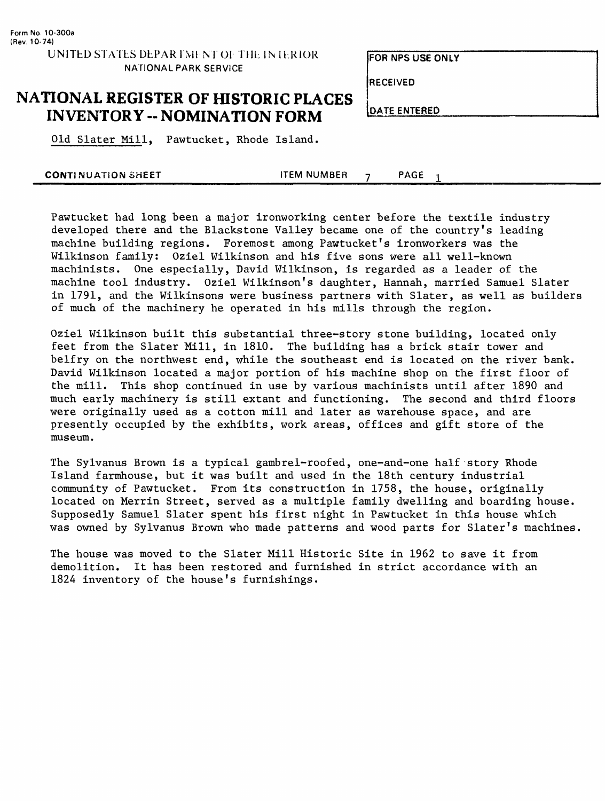**FOR NFS USE ONLY**

**RECEIVED**

## **NATIONAL REGISTER OF HISTORIC PLACES INVENTORY -- NOMINATION FORM**

**DATE ENTERED**

Old Slater Mill, Pawtucket, Rhode Island.

|  | <b>CONTINUATION SHEET</b> | <b>TEM NUMBER</b> |  | PAGE |  |
|--|---------------------------|-------------------|--|------|--|
|--|---------------------------|-------------------|--|------|--|

Pawtucket had long been a major ironworking center before the textile industry developed there and the Blackstone Valley became one of the country's leading machine building regions. Foremost among Pawtucket's ironworkers was the Wilkinson family: Oziel Wilkinson and his five sons were all well-known machinists. One especially, David Wilkinson, is regarded as a leader of the machine tool industry. Oziel Wilkinson's daughter, Hannah, married Samuel Slater in 1791, and the Wilkinsons were business partners with Slater, as well as builders of much of the machinery he operated in his mills through the region.

Oziel Wilkinson built this substantial three-story stone building, located only feet from the Slater Mill, in 1810. The building has a brick stair tower and belfry on the northwest end, while the southeast end is located on the river bank. David Wilkinson located a major portion of his machine shop on the first floor of the mill. This shop continued in use by various machinists until after 1890 and much early machinery is still extant and functioning. The second and third floors were originally used as a cotton mill and later as warehouse space, and are presently occupied by the exhibits, work areas, offices and gift store of the museum.

The Sylvanus Brown is a typical gambrel-roofed, one-and-one half story Rhode Island farmhouse, but it was built and used in the 18th century industrial community of Pawtucket. From its construction in 1758, the house, originally located on Merrin Street, served as a multiple family dwelling and boarding house. Supposedly Samuel Slater spent his first night in Pawtucket in this house which was owned by Sylvanus Brown who made patterns and wood parts for Slater's machines.

The house was moved to the Slater Mill Historic Site in 1962 to save it from demolition. It has been restored and furnished in strict accordance with an 1824 inventory of the house's furnishings.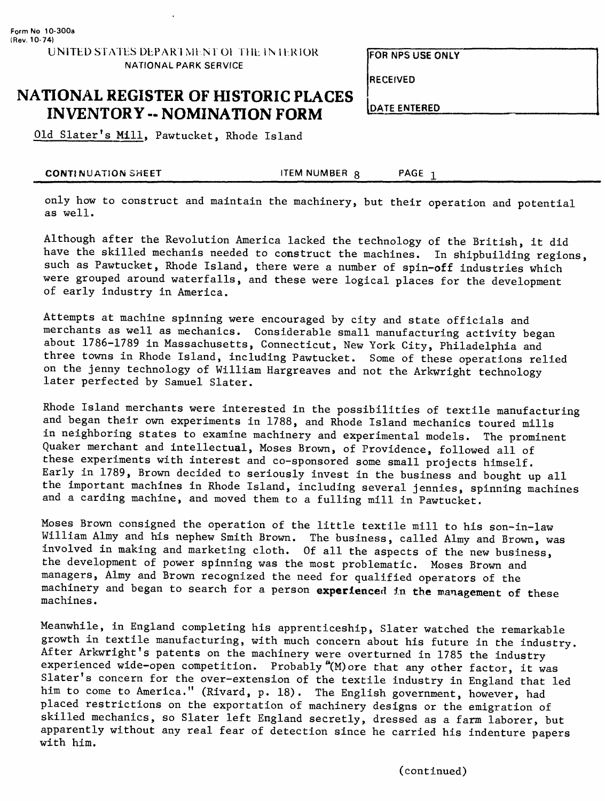**RECEIVED**

**DATE ENTERED**

## **NATIONAL REGISTER OF HISTORIC PLACES INVENTORY -- NOMINATION FORM**

Old Slater's Mill, Pawtucket, Rhode Island

**CONTINUATION SHEET** THE MUMBER QUARE THE STATE ITEM NUMBER QUARE 1

only how to construct and maintain the machinery, but their operation and potential as well.

Although after the Revolution America lacked the technology of the British, it did have the skilled mechanis needed to construct the machines. In shipbuilding regions, such as Pawtucket, Rhode Island, there were a number of spin-off industries which were grouped around waterfalls, and these were logical places for the development of early industry in America.

Attempts at machine spinning were encouraged by city and state officials and merchants as well as mechanics. Considerable small manufacturing activity began about 1786-1789 in Massachusetts, Connecticut, New York City, Philadelphia and three towns in Rhode Island, including Pawtucket. Some of these operations relied on the jenny technology of William Hargreaves and not the Arkwright technology later perfected by Samuel Slater.

Rhode Island merchants were interested in the possibilities of textile manufacturing and began their own experiments in 1788, and Rhode Island mechanics toured mills in neighboring states to examine machinery and experimental models. The prominent Quaker merchant and intellectual, Moses Brown, of Providence, followed all of these experiments with interest and co-sponsored some small projects himself. Early in 1789, Brown decided to seriously invest in the business and bought up all the important machines in Rhode Island, including several jennies, spinning machines and a carding machine, and moved them to a fulling mill in Pawtucket.

Moses Brown consigned the operation of the little textile mill to his son-in-law William Almy and his nephew Smith Brown. The business, called Almy and Brown, was involved in making and marketing cloth. Of all the aspects of the new business, the development of power spinning was the most problematic. Moses Brown and managers, Almy and Brown recognized the need for qualified operators of the machinery and began to search for a person **experienced** in the management of these machines.

Meanwhile, in England completing his apprenticeship, Slater watched the remarkable growth in textile manufacturing, with much concern about his future in the industry. After Arkwright's patents on the machinery were overturned in 1785 the industry experienced wide-open competition. Probably " $(M)$  ore that any other factor, it was Slater's concern for the over-extension of the textile industry in England that led him to come to America." (Rivard, p. 18). The English government, however, had placed restrictions on the exportation of machinery designs or the emigration of skilled mechanics, so Slater left England secretly, dressed as a farm laborer, but apparently without any real fear of detection since he carried his indenture papers with him.

**NATIONAL PARK SERVICE**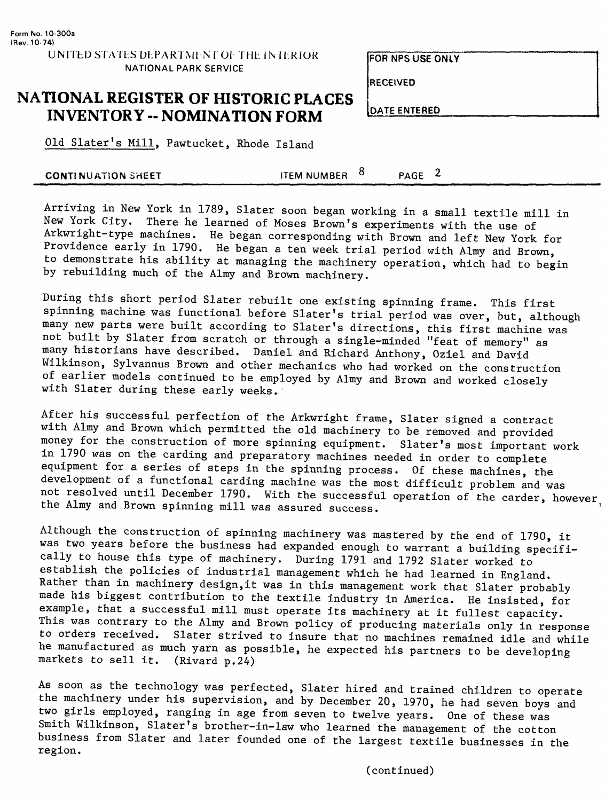**RECEIVED**

### **NATIONAL REGISTER OF HISTORIC PLACES INVENTORY -- NOMINATION FORM**

**DATE ENTERED**

Old Slater's Mill, Pawtucket, Rhode Island

|--|

Arriving in New York in 1789, Slater soon began working in a small textile mill in New York City. There he learned of Moses Brown's experiments with the use of Arkwright-type machines. He began corresponding with Brown and left New York for Providence early in 1790. He began a ten week trial period with Almy and Brown, to demonstrate his ability at managing the machinery operation, which had to begin by rebuilding much of the Almy and Brown machinery.

During this short period Slater rebuilt one existing spinning frame. This first spinning machine was functional before Slater's trial period was over, but, although many new parts were built according to Slater's directions, this first machine was not built by Slater from scratch or through a single-minded "feat of memory" as many historians have described. Daniel and Richard Anthony, Oziel and David Wilkinson, Sylvannus Brown and other mechanics who had worked on the construction of earlier models continued to be employed by Almy and Brown and worked closely with Slater during these early weeks.

After his successful perfection of the Arkwright frame, Slater signed a contract with Almy and Brown which permitted the old machinery to be removed and provided money for the construction of more spinning equipment. Slater's most important work in 1790 was on the carding and preparatory machines needed in order to complete equipment for a series of steps in the spinning process. Of these machines, the development of a functional carding machine was the most difficult problem and was not resolved until December 1790. With the successful operation of the carder, however, the Almy and Brown spinning mill was assured success. '

Although the construction of spinning machinery was mastered by the end of 1790, it was two years before the business had expanded enough to warrant a building specifically to house this type of machinery. During 1791 and 1792 Slater worked to establish the policies of industrial management which he had learned in England. Rather than in machinery design, it was in this management work that Slater probably made his biggest contribution to the textile industry in America. He insisted, for example, that a successful mill must operate its machinery at it fullest capacity. This was contrary to the Almy and Brown policy of producing materials only in response to orders received. Slater strived to insure that no machines remained idle and while he manufactured as much yarn as possible, he expected his partners to be developins markets to sell it. (Rivard p.24)

As soon as the technology was perfected, Slater hired and trained children to operate the machinery under his supervision, and by December 20, 1970, he had seven boys and two girls employed, ranging in age from seven to twelve years. One of these was Smith Wilkinson, Slater's brother-in-law who learned the management of the cotton business from Slater and later founded one of the largest textile businesses in the region.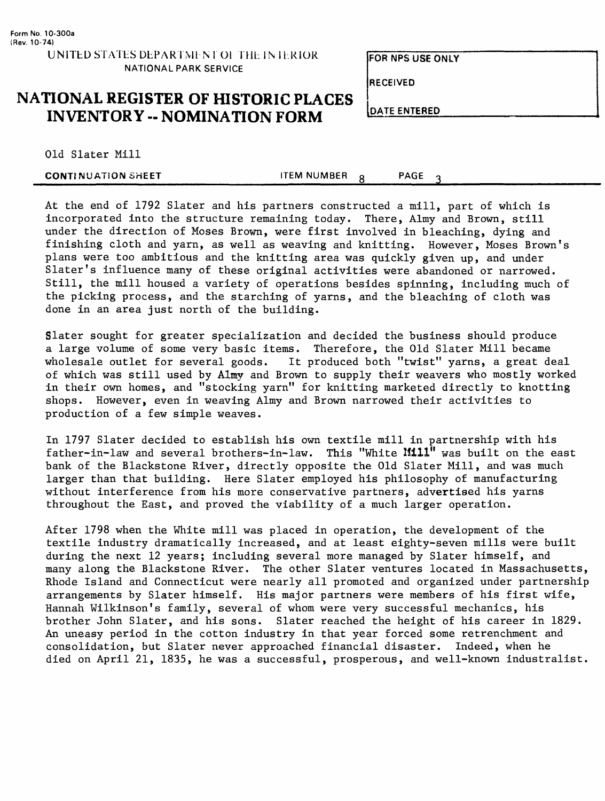UNITED STATES DEPARTMENT OF THE INTERIOR **NATIONAL PARK SERVICE**

**FOR NPS USE ONLY**

**RECEIVED**

### **NATIONAL REGISTER OF HISTORIC PLACES INVENTORY - NOMINATION FORM**

**DATE ENTERED**

Old Slater Mill

| <b>CONTINUATION SHEET</b> | <b>TEM NUMBER</b> | PAGE |  |  |
|---------------------------|-------------------|------|--|--|
|                           |                   |      |  |  |

At the end of 1792 Slater and his partners constructed a mill, part of which is incorporated into the structure remaining today. There, Almy and Brown, still under the direction of Moses Brown, were first involved in bleaching, dying and finishing cloth and yarn, as well as weaving and knitting. However, Moses Brown's plans were too ambitious and the knitting area was quickly given up, and under Slater's influence many of these original activities were abandoned or narrowed. Still, the mill housed a variety of operations besides spinning, including much of the picking process, and the starching of yarns, and the bleaching of cloth was done in an area just north of the building.

Slater sought for greater specialization and decided the business should produce a large volume of some very basic items. Therefore, the Old Slater Mill became wholesale outlet for several goods. It produced both "twist" yarns, a great deal of which was still used by Almy and Brown to supply their weavers who mostly worked in their own homes, and "stocking yarn" for knitting marketed directly to knotting shops. However, even in weaving Almy and Brown narrowed their activities to production of a few simple weaves.

In 1797 Slater decided to establish his own textile mill in partnership with his father-in-law and several brothers-in-law. This "White **Iflll"** was built on the east bank of the Blackstone River, directly opposite the Old Slater Mill, and was much larger than that building. Here Slater employed his philosophy of manufacturing without interference from his more conservative partners, advertised his yarns throughout the East, and proved the viability of a much larger operation.

After 1798 when the White mill was placed in operation, the development of the textile industry dramatically increased, and at least eighty-seven mills were built during the next 12 years; including several more managed by Slater himself, and many along the Blackstone River. The other Slater ventures located in Massachusetts, Rhode Island and Connecticut were nearly all promoted and organized under partnership arrangements by Slater himself. His major partners were members of his first wife, Hannah Wilkinson's family, several of whom were very successful mechanics, his brother John Slater, and his sons. Slater reached the height of his career in 1829. An uneasy period in the cotton industry in that year forced some retrenchment and consolidation, but Slater never approached financial disaster. Indeed, when he died on April 21, 1835, he was a successful, prosperous, and well-known industralist.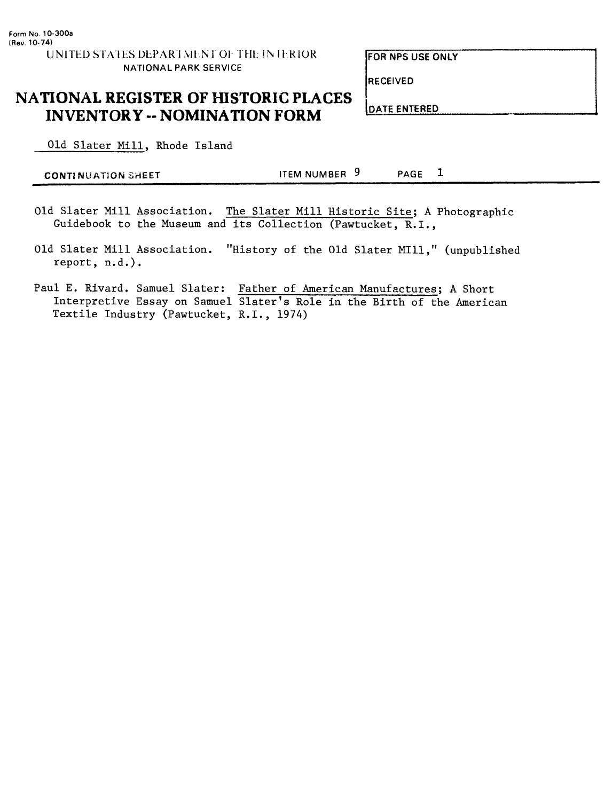**RECEIVED**

# **NATIONAL REGISTER OF HISTORIC PLACES INVENTORY -- NOMINATION FORM**

Old Slater Mill, Rhode Island

| <b>CONTINUATION SHEET</b> | ITEM NUMBER 9 | PAGE |
|---------------------------|---------------|------|
|---------------------------|---------------|------|

- Old Slater Mill Association. The Slater Mill Historic Site; A Photographic Guidebook to the Museum and its Collection (Pawtucket, R.I.,
- Old Slater Mill Association. "History of the Old Slater Mill," (unpublished report, n.d.).
- Paul E. Rivard. Samuel Slater: Father of American Manufactures; A Short Interpretive Essay on Samuel Slater's Role in the Birth of the American Textile Industry (Pawtucket, R.I., 1974)